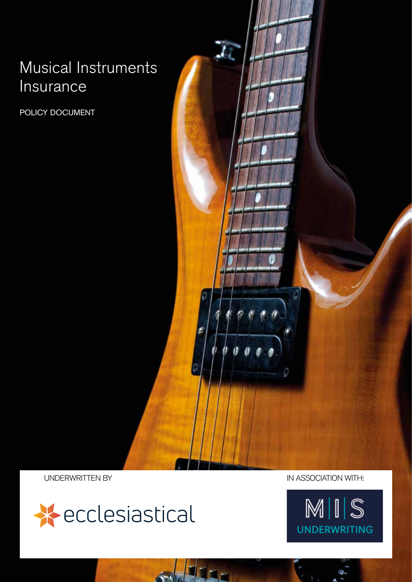## Musical Instruments Insurance

POLICY DOCUMENT

ū,



UNDERWRITTEN BY IN ASSOCIATION WITH:

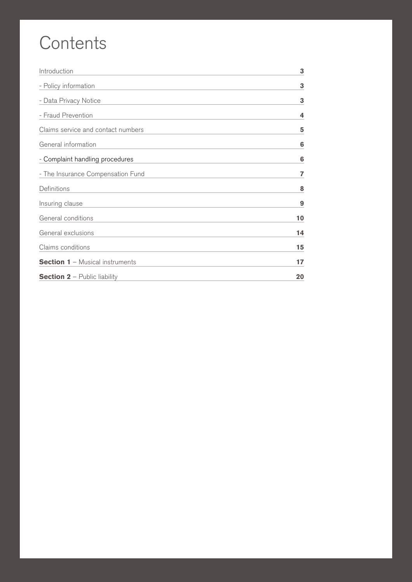# **Contents**

| 3  |
|----|
| 3  |
| 3  |
| 4  |
| 5  |
| 6  |
| 6  |
| 7  |
| 8  |
| 9  |
| 10 |
| 14 |
| 15 |
| 17 |
| 20 |
|    |

2 POLICY DOCUMENT MUSICAL INSTRUMENTS INSURANCE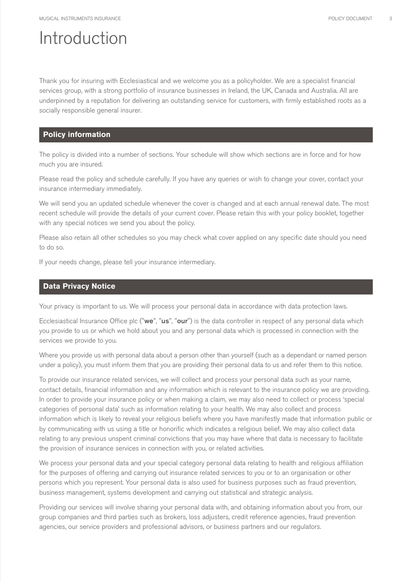### Introduction

Thank you for insuring with Ecclesiastical and we welcome you as a policyholder. We are a specialist financial services group, with a strong portfolio of insurance businesses in Ireland, the UK, Canada and Australia. All are underpinned by a reputation for delivering an outstanding service for customers, with firmly established roots as a socially responsible general insurer.

### **Policy information**

The policy is divided into a number of sections. Your schedule will show which sections are in force and for how much you are insured.

Please read the policy and schedule carefully. If you have any queries or wish to change your cover, contact your insurance intermediary immediately.

We will send you an updated schedule whenever the cover is changed and at each annual renewal date. The most recent schedule will provide the details of your current cover. Please retain this with your policy booklet, together with any special notices we send you about the policy.

Please also retain all other schedules so you may check what cover applied on any specific date should you need to do so.

If your needs change, please tell your insurance intermediary.

### **Data Privacy Notice**

Your privacy is important to us. We will process your personal data in accordance with data protection laws.

Ecclesiastical Insurance Office plc ("we", "us", "our") is the data controller in respect of any personal data which you provide to us or which we hold about you and any personal data which is processed in connection with the services we provide to you.

Where you provide us with personal data about a person other than yourself (such as a dependant or named person under a policy), you must inform them that you are providing their personal data to us and refer them to this notice.

To provide our insurance related services, we will collect and process your personal data such as your name, contact details, financial information and any information which is relevant to the insurance policy we are providing. In order to provide your insurance policy or when making a claim, we may also need to collect or process 'special categories of personal data' such as information relating to your health. We may also collect and process information which is likely to reveal your religious beliefs where you have manifestly made that information public or by communicating with us using a title or honorific which indicates a religious belief. We may also collect data relating to any previous unspent criminal convictions that you may have where that data is necessary to facilitate the provision of insurance services in connection with you, or related activities.

We process your personal data and your special category personal data relating to health and religious affiliation for the purposes of offering and carrying out insurance related services to you or to an organisation or other persons which you represent. Your personal data is also used for business purposes such as fraud prevention, business management, systems development and carrying out statistical and strategic analysis.

Providing our services will involve sharing your personal data with, and obtaining information about you from, our group companies and third parties such as brokers, loss adjusters, credit reference agencies, fraud prevention agencies, our service providers and professional advisors, or business partners and our regulators.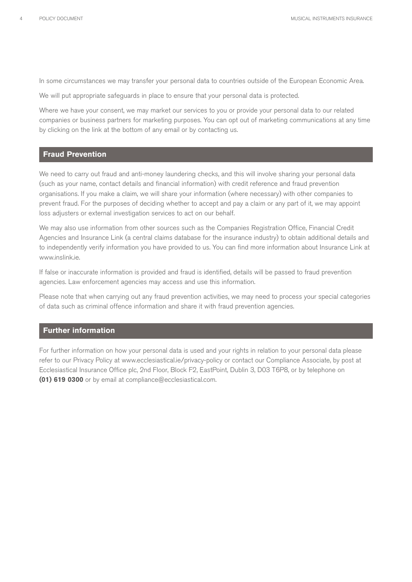In some circumstances we may transfer your personal data to countries outside of the European Economic Area.

We will put appropriate safeguards in place to ensure that your personal data is protected.

Where we have your consent, we may market our services to you or provide your personal data to our related companies or business partners for marketing purposes. You can opt out of marketing communications at any time by clicking on the link at the bottom of any email or by contacting us.

### **Fraud Prevention**

We need to carry out fraud and anti-money laundering checks, and this will involve sharing your personal data (such as your name, contact details and financial information) with credit reference and fraud prevention organisations. If you make a claim, we will share your information (where necessary) with other companies to prevent fraud. For the purposes of deciding whether to accept and pay a claim or any part of it, we may appoint loss adjusters or external investigation services to act on our behalf.

We may also use information from other sources such as the Companies Registration Office, Financial Credit Agencies and Insurance Link (a central claims database for the insurance industry) to obtain additional details and to independently verify information you have provided to us. You can find more information about Insurance Link at www.inslink.ie.

If false or inaccurate information is provided and fraud is identified, details will be passed to fraud prevention agencies. Law enforcement agencies may access and use this information.

Please note that when carrying out any fraud prevention activities, we may need to process your special categories of data such as criminal offence information and share it with fraud prevention agencies.

### **Further information**

For further information on how your personal data is used and your rights in relation to your personal data please refer to our Privacy Policy at www.ecclesiastical.ie/privacy-policy or contact our Compliance Associate, by post at Ecclesiastical Insurance Office plc, 2nd Floor, Block F2, EastPoint, Dublin 3, D03 T6P8, or by telephone on **(01) 619 0300** or by email at compliance@ecclesiastical.com.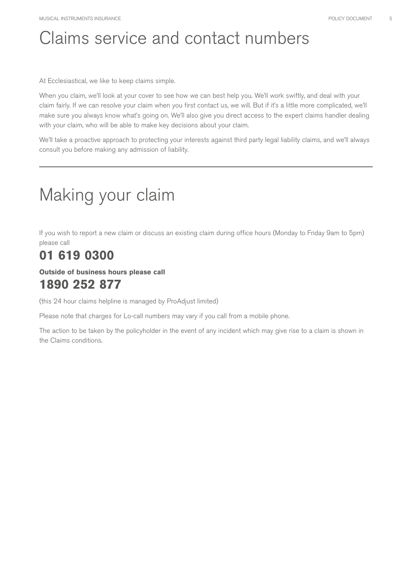# Claims service and contact numbers

At Ecclesiastical, we like to keep claims simple.

When you claim, we'll look at your cover to see how we can best help you. We'll work swiftly, and deal with your claim fairly. If we can resolve your claim when you first contact us, we will. But if it's a little more complicated, we'll make sure you always know what's going on. We'll also give you direct access to the expert claims handler dealing with your claim, who will be able to make key decisions about your claim.

We'll take a proactive approach to protecting your interests against third party legal liability claims, and we'll always consult you before making any admission of liability.

# Making your claim

If you wish to report a new claim or discuss an existing claim during office hours (Monday to Friday 9am to 5pm) please call

### **01 619 0300**

### **Outside of business hours please call 1890 252 877**

(this 24 hour claims helpline is managed by ProAdjust limited)

Please note that charges for Lo-call numbers may vary if you call from a mobile phone.

The action to be taken by the policyholder in the event of any incident which may give rise to a claim is shown in the Claims conditions.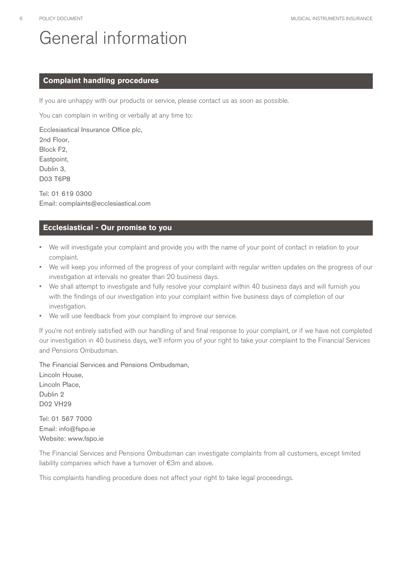# General information

### **Complaint handling procedures**

If you are unhappy with our products or service, please contact us as soon as possible.

You can complain in writing or verbally at any time to:

Ecclesiastical Insurance Office plc,

2nd Floor, Block F2, Eastpoint, Dublin 3,

D03 T6P8

Tel: 01 619 0300 Email: complaints@ecclesiastical.com

### **Ecclesiastical - Our promise to you**

- We will investigate your complaint and provide you with the name of your point of contact in relation to your complaint.
- We will keep you informed of the progress of your complaint with regular written updates on the progress of our investigation at intervals no greater than 20 business days.
- We shall attempt to investigate and fully resolve your complaint within 40 business days and will furnish you with the findings of our investigation into your complaint within five business days of completion of our investigation.
- We will use feedback from your complaint to improve our service.

If you're not entirely satisfied with our handling of and final response to your complaint, or if we have not completed our investigation in 40 business days, we'll inform you of your right to take your complaint to the Financial Services and Pensions Ombudsman.

The Financial Services and Pensions Ombudsman,

Lincoln House, Lincoln Place, Dublin 2 D02 VH29

Tel: 01 567 7000 Email: info@fspo.ie Website: www.fspo.ie

The Financial Services and Pensions Ombudsman can investigate complaints from all customers, except limited liability companies which have a turnover of €3m and above.

This complaints handling procedure does not affect your right to take legal proceedings.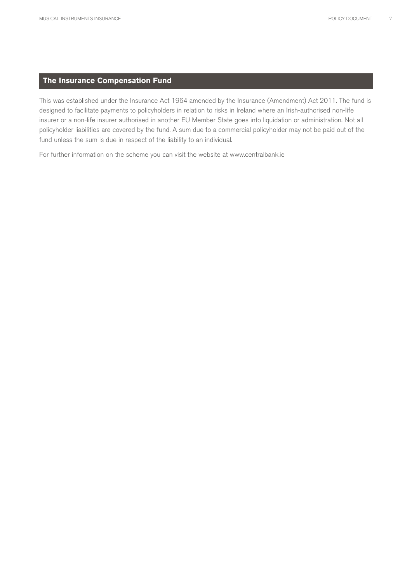### **The Insurance Compensation Fund**

This was established under the Insurance Act 1964 amended by the Insurance (Amendment) Act 2011. The fund is designed to facilitate payments to policyholders in relation to risks in Ireland where an Irish-authorised non-life insurer or a non-life insurer authorised in another EU Member State goes into liquidation or administration. Not all policyholder liabilities are covered by the fund. A sum due to a commercial policyholder may not be paid out of the fund unless the sum is due in respect of the liability to an individual.

For further information on the scheme you can visit the website at www.centralbank.ie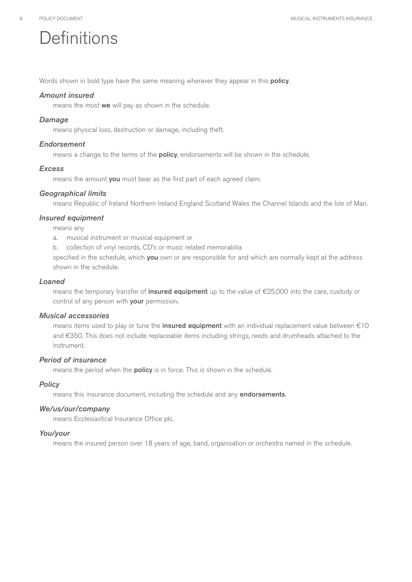# **Definitions**

Words shown in bold type have the same meaning wherever they appear in this **policy**.

### *Amount insured*

means the most we will pay as shown in the schedule.

### *Damage*

means physical loss, destruction or damage, including theft.

### *Endorsement*

means a change to the terms of the **policy**, endorsements will be shown in the schedule.

### *Excess*

means the amount you must bear as the first part of each agreed claim.

### *Geographical limits*

means Republic of Ireland Northern Ireland England Scotland Wales the Channel Islands and the Isle of Man.

### *Insured equipment*

means any

- a. musical instrument or musical equipment or
- b. collection of vinyl records, CD's or music related memorabilia

specified in the schedule, which you own or are responsible for and which are normally kept at the address shown in the schedule.

### *Loaned*

means the temporary transfer of insured equipment up to the value of €25,000 into the care, custody or control of any person with your permission.

### *Musical accessories*

means items used to play or tune the *insured equipment* with an individual replacement value between €10 and €350. This does not include replaceable items including strings, reeds and drumheads attached to the instrument.

### *Period of insurance*

means the period when the **policy** is in force. This is shown in the schedule.

### *Policy*

means this insurance document, including the schedule and any endorsements.

### *We/us/our/company*

means Ecclesiastical Insurance Office plc.

### *You/your*

means the insured person over 18 years of age, band, organisation or orchestra named in the schedule.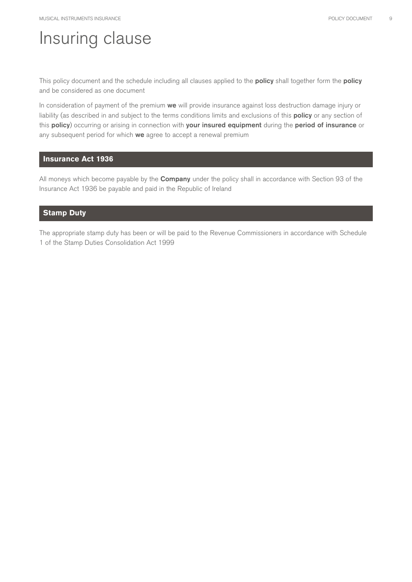### Insuring clause

This policy document and the schedule including all clauses applied to the **policy** shall together form the **policy** and be considered as one document

In consideration of payment of the premium we will provide insurance against loss destruction damage injury or liability (as described in and subject to the terms conditions limits and exclusions of this policy or any section of this policy) occurring or arising in connection with your insured equipment during the period of insurance or any subsequent period for which we agree to accept a renewal premium

### **Insurance Act 1936**

All moneys which become payable by the **Company** under the policy shall in accordance with Section 93 of the Insurance Act 1936 be payable and paid in the Republic of Ireland

### **Stamp Duty**

The appropriate stamp duty has been or will be paid to the Revenue Commissioners in accordance with Schedule 1 of the Stamp Duties Consolidation Act 1999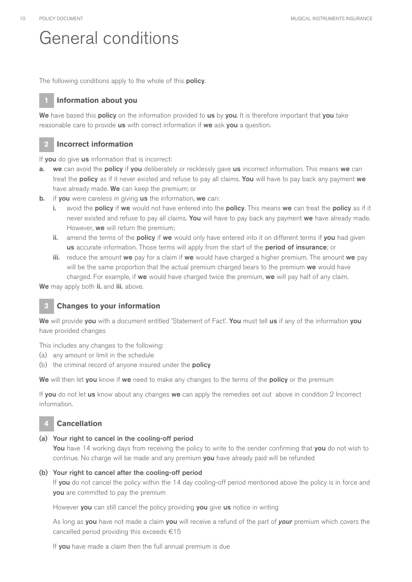### General conditions

The following conditions apply to the whole of this **policy**.

### **1 Information about you**

We have based this policy on the information provided to us by you. It is therefore important that you take reasonable care to provide us with correct information if we ask you a question.

### **2 Incorrect information**

If you do give us information that is incorrect:

- a. we can avoid the policy if you deliberately or recklessly gave us incorrect information. This means we can treat the **policy** as if it never existed and refuse to pay all claims. You will have to pay back any payment we have already made. We can keep the premium; or
- b. if you were careless in giving us the information, we can:
	- i. avoid the **policy** if we would not have entered into the **policy**. This means we can treat the **policy** as if it never existed and refuse to pay all claims. You will have to pay back any payment we have already made. However, we will return the premium;
	- ii. amend the terms of the policy if we would only have entered into it on different terms if you had given us accurate information. Those terms will apply from the start of the period of insurance; or
	- iii. reduce the amount we pay for a claim if we would have charged a higher premium. The amount we pay will be the same proportion that the actual premium charged bears to the premium we would have charged. For example, if we would have charged twice the premium, we will pay half of any claim.

We may apply both ii. and iii. above.

### **3 Changes to your information**

We will provide you with a document entitled 'Statement of Fact'. You must tell us if any of the information you have provided changes

This includes any changes to the following:

- (a) any amount or limit in the schedule
- (b) the criminal record of anyone insured under the **policy**

We will then let you know if we need to make any changes to the terms of the policy or the premium

If you do not let us know about any changes we can apply the remedies set out above in condition 2 Incorrect information.

### **4 Cancellation**

### (a) Your right to cancel in the cooling-off period

You have 14 working days from receiving the policy to write to the sender confirming that you do not wish to continue. No charge will be made and any premium you have already paid will be refunded

### (b) Your right to cancel after the cooling-off period

If you do not cancel the policy within the 14 day cooling-off period mentioned above the policy is in force and you are committed to pay the premium

However you can still cancel the policy providing you give us notice in writing

As long as you have not made a claim you will receive a refund of the part of *your* premium which covers the cancelled period providing this exceeds €15

If you have made a claim then the full annual premium is due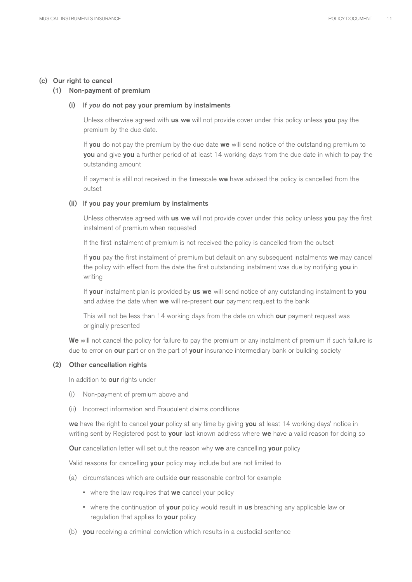### (c) Our right to cancel

### (1) Non-payment of premium

### (i) If *you* do not pay your premium by instalments

Unless otherwise agreed with us we will not provide cover under this policy unless you pay the premium by the due date.

If you do not pay the premium by the due date we will send notice of the outstanding premium to you and give you a further period of at least 14 working days from the due date in which to pay the outstanding amount

If payment is still not received in the timescale we have advised the policy is cancelled from the outset

#### (ii) If you pay your premium by instalments

Unless otherwise agreed with us we will not provide cover under this policy unless you pay the first instalment of premium when requested

If the first instalment of premium is not received the policy is cancelled from the outset

If you pay the first instalment of premium but default on any subsequent instalments we may cancel the policy with effect from the date the first outstanding instalment was due by notifying you in writing

If your instalment plan is provided by us we will send notice of any outstanding instalment to you and advise the date when we will re-present our payment request to the bank

This will not be less than 14 working days from the date on which our payment request was originally presented

We will not cancel the policy for failure to pay the premium or any instalment of premium if such failure is due to error on our part or on the part of your insurance intermediary bank or building society

### (2) Other cancellation rights

In addition to **our** rights under

- (i) Non-payment of premium above and
- (ii) Incorrect information and Fraudulent claims conditions

we have the right to cancel your policy at any time by giving you at least 14 working days' notice in writing sent by Registered post to your last known address where we have a valid reason for doing so

Our cancellation letter will set out the reason why we are cancelling your policy

Valid reasons for cancelling your policy may include but are not limited to

- (a) circumstances which are outside **our** reasonable control for example
	- where the law requires that we cancel your policy
	- where the continuation of your policy would result in us breaching any applicable law or regulation that applies to your policy
- (b) you receiving a criminal conviction which results in a custodial sentence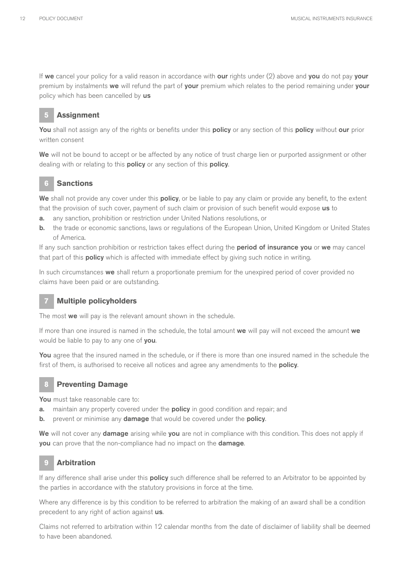If we cancel your policy for a valid reason in accordance with our rights under  $(2)$  above and you do not pay your premium by instalments we will refund the part of your premium which relates to the period remaining under your policy which has been cancelled by us

### **5 Assignment**

You shall not assign any of the rights or benefits under this policy or any section of this policy without our prior written consent

We will not be bound to accept or be affected by any notice of trust charge lien or purported assignment or other dealing with or relating to this **policy** or any section of this **policy**.

### **6 Sanctions**

We shall not provide any cover under this policy, or be liable to pay any claim or provide any benefit, to the extent that the provision of such cover, payment of such claim or provision of such benefit would expose us to

- a. any sanction, prohibition or restriction under United Nations resolutions, or
- b. the trade or economic sanctions, laws or regulations of the European Union, United Kingdom or United States of America.

If any such sanction prohibition or restriction takes effect during the **period of insurance you** or we may cancel that part of this **policy** which is affected with immediate effect by giving such notice in writing.

In such circumstances we shall return a proportionate premium for the unexpired period of cover provided no claims have been paid or are outstanding.

### **7 Multiple policyholders**

The most we will pay is the relevant amount shown in the schedule.

If more than one insured is named in the schedule, the total amount we will pay will not exceed the amount we would be liable to pay to any one of you.

You agree that the insured named in the schedule, or if there is more than one insured named in the schedule the first of them, is authorised to receive all notices and agree any amendments to the **policy**.

### **8 Preventing Damage**

You must take reasonable care to:

- a. maintain any property covered under the **policy** in good condition and repair; and
- b. prevent or minimise any damage that would be covered under the policy.

We will not cover any damage arising while you are not in compliance with this condition. This does not apply if you can prove that the non-compliance had no impact on the damage.

### **9 Arbitration**

If any difference shall arise under this **policy** such difference shall be referred to an Arbitrator to be appointed by the parties in accordance with the statutory provisions in force at the time.

Where any difference is by this condition to be referred to arbitration the making of an award shall be a condition precedent to any right of action against us.

Claims not referred to arbitration within 12 calendar months from the date of disclaimer of liability shall be deemed to have been abandoned.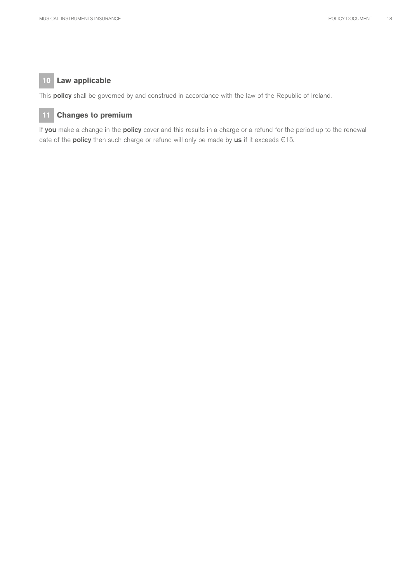### **10 Law applicable**

This **policy** shall be governed by and construed in accordance with the law of the Republic of Ireland.

### **11 Changes to premium**

If you make a change in the policy cover and this results in a charge or a refund for the period up to the renewal date of the **policy** then such charge or refund will only be made by us if it exceeds  $€15$ .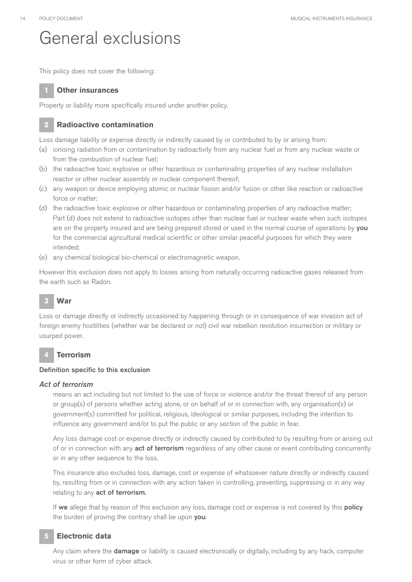### General exclusions

This policy does not cover the following:

### **1 Other insurances**

Property or liability more specifically insured under another policy.

### **2 Radioactive contamination**

Loss damage liability or expense directly or indirectly caused by or contributed to by or arising from:

- (a) ionising radiation from or contamination by radioactivity from any nuclear fuel or from any nuclear waste or from the combustion of nuclear fuel;
- (b) the radioactive toxic explosive or other hazardous or contaminating properties of any nuclear installation reactor or other nuclear assembly or nuclear component thereof;
- (c) any weapon or device employing atomic or nuclear fission and/or fusion or other like reaction or radioactive force or matter;
- (d) the radioactive toxic explosive or other hazardous or contaminating properties of any radioactive matter; Part (d) does not extend to radioactive isotopes other than nuclear fuel or nuclear waste when such isotopes are on the property insured and are being prepared stored or used in the normal course of operations by you for the commercial agricultural medical scientific or other similar peaceful purposes for which they were intended;
- (e) any chemical biological bio-chemical or electromagnetic weapon.

However this exclusion does not apply to losses arising from naturally occurring radioactive gases released from the earth such as Radon.

### **3 War**

Loss or damage directly or indirectly occasioned by happening through or in consequence of war invasion act of foreign enemy hostilities (whether war be declared or not) civil war rebellion revolution insurrection or military or usurped power.

### **4 Terrorism**

### Definition specific to this exclusion

### *Act of terrorism*

means an act including but not limited to the use of force or violence and/or the threat thereof of any person or group(s) of persons whether acting alone, or on behalf of or in connection with, any organisation(s) or government(s) committed for political, religious, ideological or similar purposes, including the intention to influence any government and/or to put the public or any section of the public in fear.

Any loss damage cost or expense directly or indirectly caused by contributed to by resulting from or arising out of or in connection with any **act of terrorism** regardless of any other cause or event contributing concurrently or in any other sequence to the loss.

This insurance also excludes loss, damage, cost or expense of whatsoever nature directly or indirectly caused by, resulting from or in connection with any action taken in controlling, preventing, suppressing or in any way relating to any act of terrorism.

If we allege that by reason of this exclusion any loss, damage cost or expense is not covered by this policy the burden of proving the contrary shall be upon you.

### **5 Electronic data**

Any claim where the **damage** or liability is caused electronically or digitally, including by any hack, computer virus or other form of cyber attack.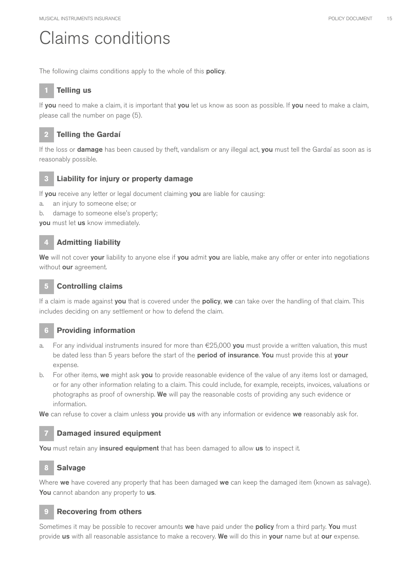### Claims conditions

The following claims conditions apply to the whole of this **policy**.

### **1 Telling us**

If you need to make a claim, it is important that you let us know as soon as possible. If you need to make a claim, please call the number on page (5).



### **2 Telling the Gardaí**

If the loss or **damage** has been caused by theft, vandalism or any illegal act, you must tell the Gardaí as soon as is reasonably possible.

### **3 Liability for injury or property damage**

If you receive any letter or legal document claiming you are liable for causing:

- a. an injury to someone else; or
- b. damage to someone else's property;

you must let us know immediately.

### **4 Admitting liability**

We will not cover your liability to anyone else if you admit you are liable, make any offer or enter into negotiations without our agreement.

### **5 Controlling claims**

If a claim is made against you that is covered under the policy, we can take over the handling of that claim. This includes deciding on any settlement or how to defend the claim.

### **6 Providing information**

- a. For any individual instruments insured for more than  $E25,000$  you must provide a written valuation, this must be dated less than 5 years before the start of the period of insurance. You must provide this at your expense.
- b. For other items, we might ask you to provide reasonable evidence of the value of any items lost or damaged, or for any other information relating to a claim. This could include, for example, receipts, invoices, valuations or photographs as proof of ownership. We will pay the reasonable costs of providing any such evidence or information.

We can refuse to cover a claim unless you provide us with any information or evidence we reasonably ask for.

### **7 Damaged insured equipment**

You must retain any insured equipment that has been damaged to allow us to inspect it.

### **8 Salvage**

Where we have covered any property that has been damaged we can keep the damaged item (known as salvage). You cannot abandon any property to us.

### **9 Recovering from others**

Sometimes it may be possible to recover amounts we have paid under the policy from a third party. You must provide us with all reasonable assistance to make a recovery. We will do this in your name but at our expense.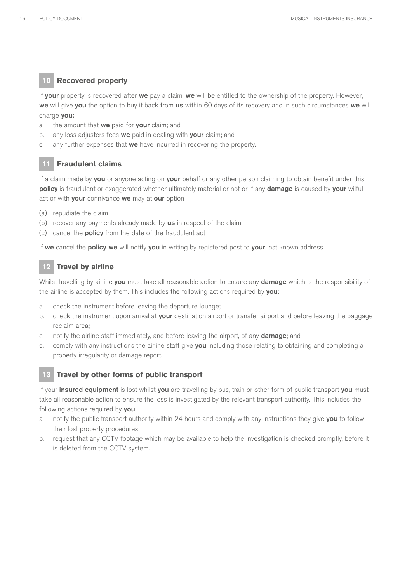### **10 Recovered property**

If your property is recovered after we pay a claim, we will be entitled to the ownership of the property. However, we will give you the option to buy it back from us within 60 days of its recovery and in such circumstances we will charge you:

- a. the amount that we paid for your claim; and
- b. any loss adjusters fees we paid in dealing with your claim; and
- c. any further expenses that we have incurred in recovering the property.

### **11 Fraudulent claims**

If a claim made by you or anyone acting on your behalf or any other person claiming to obtain benefit under this policy is fraudulent or exaggerated whether ultimately material or not or if any damage is caused by your wilful act or with your connivance we may at our option

- (a) repudiate the claim
- (b) recover any payments already made by **us** in respect of the claim
- (c) cancel the policy from the date of the fraudulent act

If we cancel the policy we will notify you in writing by registered post to your last known address

### **Travel by airline**

Whilst travelling by airline you must take all reasonable action to ensure any damage which is the responsibility of the airline is accepted by them. This includes the following actions required by you:

- a. check the instrument before leaving the departure lounge;
- b. check the instrument upon arrival at **your** destination airport or transfer airport and before leaving the baggage reclaim area;
- c. notify the airline staff immediately, and before leaving the airport, of any **damage**; and
- d. comply with any instructions the airline staff give you including those relating to obtaining and completing a property irregularity or damage report.

### **13 Travel by other forms of public transport**

If your insured equipment is lost whilst you are travelling by bus, train or other form of public transport you must take all reasonable action to ensure the loss is investigated by the relevant transport authority. This includes the following actions required by you:

- a. notify the public transport authority within 24 hours and comply with any instructions they give you to follow their lost property procedures;
- b. request that any CCTV footage which may be available to help the investigation is checked promptly, before it is deleted from the CCTV system.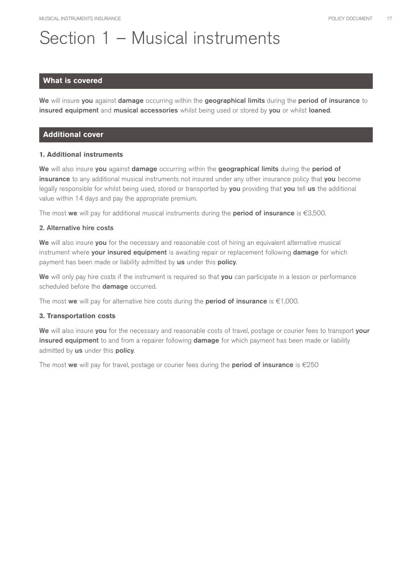# Section 1 – Musical instruments

### **What is covered**

We will insure you against damage occurring within the geographical limits during the period of insurance to insured equipment and musical accessories whilst being used or stored by you or whilst loaned.

### **Additional cover**

### **1. Additional instruments**

We will also insure you against damage occurring within the geographical limits during the period of insurance to any additional musical instruments not insured under any other insurance policy that you become legally responsible for whilst being used, stored or transported by you providing that you tell us the additional value within 14 days and pay the appropriate premium.

The most we will pay for additional musical instruments during the **period of insurance** is  $\epsilon$ 3,500.

### 2. Alternative hire costs

We will also insure you for the necessary and reasonable cost of hiring an equivalent alternative musical instrument where your insured equipment is awaiting repair or replacement following damage for which payment has been made or liability admitted by us under this policy.

We will only pay hire costs if the instrument is required so that you can participate in a lesson or performance scheduled before the **damage** occurred.

The most we will pay for alternative hire costs during the **period of insurance** is  $\in$ 1,000.

### **3. Transportation costs**

We will also insure you for the necessary and reasonable costs of travel, postage or courier fees to transport your insured equipment to and from a repairer following damage for which payment has been made or liability admitted by us under this policy.

The most we will pay for travel, postage or courier fees during the **period of insurance** is  $\epsilon$ 250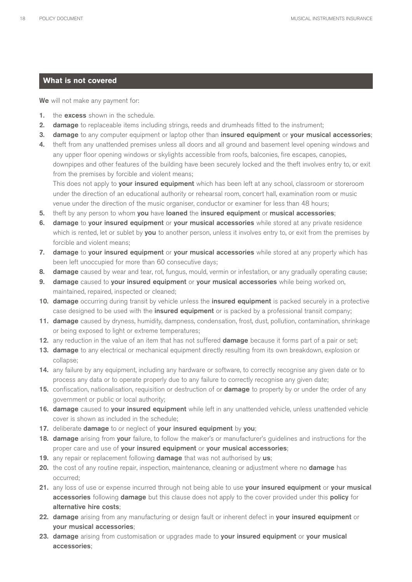### **What is not covered**

We will not make any payment for:

- 1. the excess shown in the schedule.
- 2. damage to replaceable items including strings, reeds and drumheads fitted to the instrument;
- 3. damage to any computer equipment or laptop other than insured equipment or your musical accessories;
- 4. theft from any unattended premises unless all doors and all ground and basement level opening windows and any upper floor opening windows or skylights accessible from roofs, balconies, fire escapes, canopies, downpipes and other features of the building have been securely locked and the theft involves entry to, or exit from the premises by forcible and violent means;

This does not apply to your insured equipment which has been left at any school, classroom or storeroom under the direction of an educational authority or rehearsal room, concert hall, examination room or music venue under the direction of the music organiser, conductor or examiner for less than 48 hours;

- 5. theft by any person to whom you have loaned the insured equipment or musical accessories;
- 6. damage to your insured equipment or your musical accessories while stored at any private residence which is rented, let or sublet by you to another person, unless it involves entry to, or exit from the premises by forcible and violent means;
- 7. damage to your insured equipment or your musical accessories while stored at any property which has been left unoccupied for more than 60 consecutive days;
- 8. damage caused by wear and tear, rot, fungus, mould, vermin or infestation, or any gradually operating cause;
- 9. damage caused to your insured equipment or your musical accessories while being worked on, maintained, repaired, inspected or cleaned;
- 10. damage occurring during transit by vehicle unless the insured equipment is packed securely in a protective case designed to be used with the **insured equipment** or is packed by a professional transit company;
- 11. damage caused by dryness, humidity, dampness, condensation, frost, dust, pollution, contamination, shrinkage or being exposed to light or extreme temperatures;
- 12. any reduction in the value of an item that has not suffered **damage** because it forms part of a pair or set;
- 13. damage to any electrical or mechanical equipment directly resulting from its own breakdown, explosion or collapse;
- 14. any failure by any equipment, including any hardware or software, to correctly recognise any given date or to process any data or to operate properly due to any failure to correctly recognise any given date;
- 15. confiscation, nationalisation, requisition or destruction of or **damage** to property by or under the order of any government or public or local authority;
- 16. damage caused to your insured equipment while left in any unattended vehicle, unless unattended vehicle cover is shown as included in the schedule;
- 17. deliberate damage to or neglect of your insured equipment by you;
- 18. damage arising from your failure, to follow the maker's or manufacturer's guidelines and instructions for the proper care and use of your insured equipment or your musical accessories;
- 19. any repair or replacement following **damage** that was not authorised by us;
- 20. the cost of any routine repair, inspection, maintenance, cleaning or adjustment where no damage has occurred;
- 21. any loss of use or expense incurred through not being able to use your insured equipment or your musical accessories following damage but this clause does not apply to the cover provided under this policy for alternative hire costs;
- 22. damage arising from any manufacturing or design fault or inherent defect in your insured equipment or your musical accessories;
- 23. damage arising from customisation or upgrades made to your insured equipment or your musical accessories;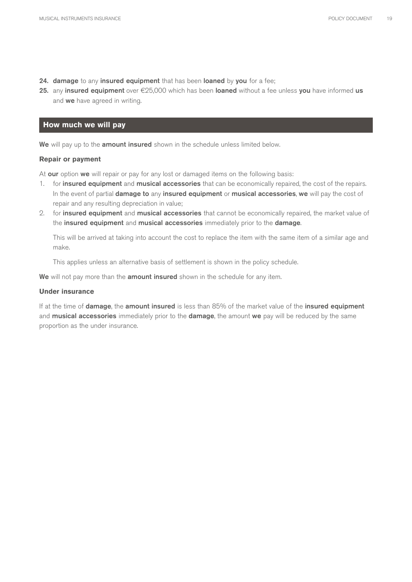- 24. damage to any insured equipment that has been loaned by you for a fee;
- 25. any insured equipment over  $E25,000$  which has been loaned without a fee unless you have informed us and we have agreed in writing.

### **How much we will pay**

We will pay up to the amount insured shown in the schedule unless limited below.

#### **Repair or payment**

At our option we will repair or pay for any lost or damaged items on the following basis:

- 1. for insured equipment and musical accessories that can be economically repaired, the cost of the repairs. In the event of partial damage to any insured equipment or musical accessories, we will pay the cost of repair and any resulting depreciation in value;
- 2. for insured equipment and musical accessories that cannot be economically repaired, the market value of the insured equipment and musical accessories immediately prior to the damage.

This will be arrived at taking into account the cost to replace the item with the same item of a similar age and make.

This applies unless an alternative basis of settlement is shown in the policy schedule.

We will not pay more than the amount insured shown in the schedule for any item.

### **Under insurance**

If at the time of **damage**, the **amount insured** is less than 85% of the market value of the insured equipment and **musical accessories** immediately prior to the **damage**, the amount we pay will be reduced by the same proportion as the under insurance.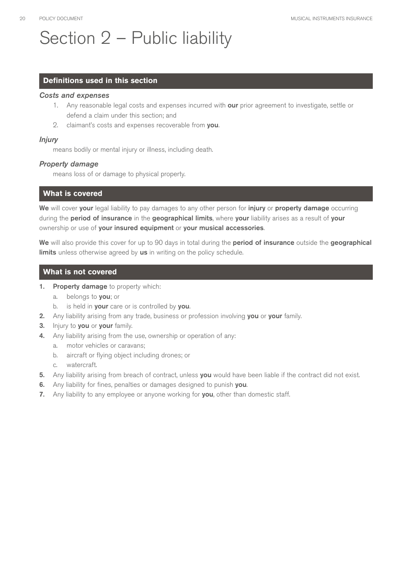# Section 2 – Public liability

### **Definitions used in this section**

### *Costs and expenses*

- 1. Any reasonable legal costs and expenses incurred with **our** prior agreement to investigate, settle or defend a claim under this section; and
- 2. claimant's costs and expenses recoverable from you.

### *Injury*

means bodily or mental injury or illness, including death.

### *Property damage*

means loss of or damage to physical property.

### **What is covered**

We will cover your legal liability to pay damages to any other person for injury or property damage occurring during the period of insurance in the geographical limits, where your liability arises as a result of your ownership or use of your insured equipment or your musical accessories.

We will also provide this cover for up to 90 days in total during the period of insurance outside the geographical limits unless otherwise agreed by us in writing on the policy schedule.

### **What is not covered**

- 1. Property damage to property which:
	- a. belongs to you; or
	- b. is held in your care or is controlled by you.
- 2. Any liability arising from any trade, business or profession involving you or your family.
- 3. Injury to you or your family.
- 4. Any liability arising from the use, ownership or operation of any:
	- a. motor vehicles or caravans;
	- b. aircraft or flying object including drones; or
	- c. watercraft.
- 5. Any liability arising from breach of contract, unless you would have been liable if the contract did not exist.
- 6. Any liability for fines, penalties or damages designed to punish you.
- 7. Any liability to any employee or anyone working for you, other than domestic staff.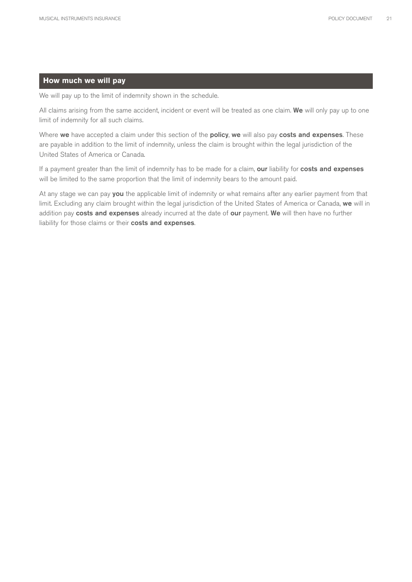### **How much we will pay**

We will pay up to the limit of indemnity shown in the schedule.

All claims arising from the same accident, incident or event will be treated as one claim. We will only pay up to one limit of indemnity for all such claims.

Where we have accepted a claim under this section of the policy, we will also pay costs and expenses. These are payable in addition to the limit of indemnity, unless the claim is brought within the legal jurisdiction of the United States of America or Canada.

If a payment greater than the limit of indemnity has to be made for a claim, our liability for costs and expenses will be limited to the same proportion that the limit of indemnity bears to the amount paid.

At any stage we can pay you the applicable limit of indemnity or what remains after any earlier payment from that limit. Excluding any claim brought within the legal jurisdiction of the United States of America or Canada, we will in addition pay costs and expenses already incurred at the date of our payment. We will then have no further liability for those claims or their costs and expenses.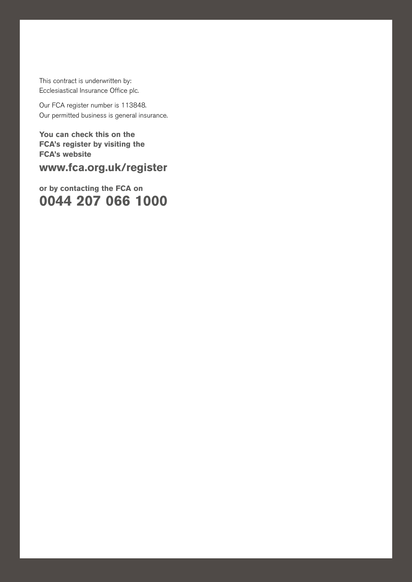This contract is underwritten by: Ecclesiastical Insurance Office plc.

Our FCA register number is 113848. Our permitted business is general insurance.

MUSICAL INSURANCE POLICY DOCUMENTS INSURANCE  $\mathcal{L}(\mathcal{A})$ 

**You can check this on the FCA's register by visiting the FCA's website**

**www.fca.org.uk/register** 

**or by contacting the FCA on 0044 207 066 1000**